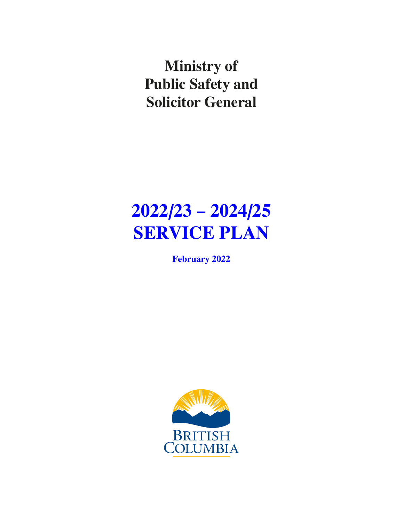**Ministry of Public Safety and Solicitor General**

# **2022/23 – 2024/25 SERVICE PLAN**

**February 2022**

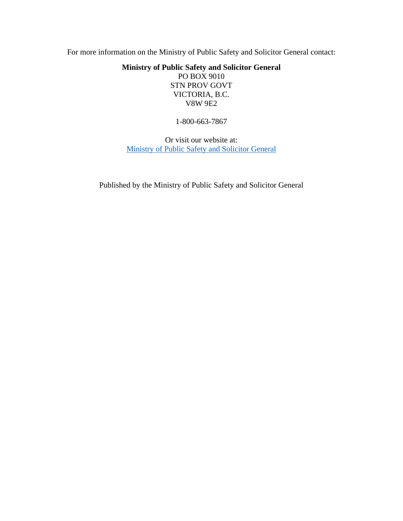For more information on the Ministry of Public Safety and Solicitor General contact:

**Ministry of Public Safety and Solicitor General** PO BOX 9010

STN PROV GOVT VICTORIA, B.C. V8W 9E2

1-800-663-7867

Or visit our website at: [Ministry of Public Safety and Solicitor General](https://www2.gov.bc.ca/gov/content/governments/organizational-structure/ministries-organizations/ministries/public-safety-solicitor-general)

Published by the Ministry of Public Safety and Solicitor General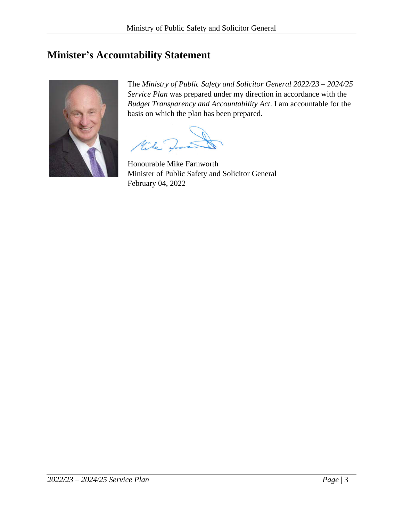# <span id="page-2-0"></span>**Minister's Accountability Statement**



The *Ministry of Public Safety and Solicitor General 2022/23 – 2024/25 Service Plan* was prepared under my direction in accordance with the *Budget Transparency and Accountability Act*. I am accountable for the basis on which the plan has been prepared.

Mile y

Honourable Mike Farnworth Minister of Public Safety and Solicitor General February 04, 2022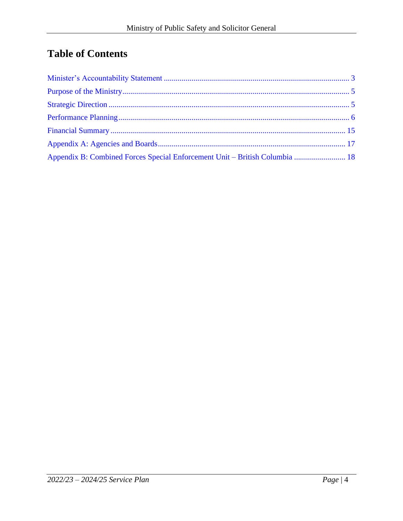# **Table of Contents**

| Appendix B: Combined Forces Special Enforcement Unit - British Columbia  18 |  |
|-----------------------------------------------------------------------------|--|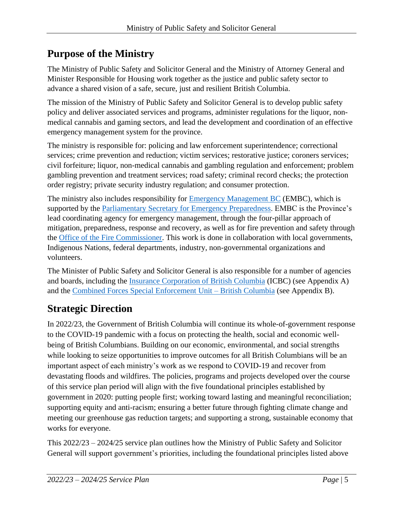# <span id="page-4-0"></span>**Purpose of the Ministry**

The Ministry of Public Safety and Solicitor General and the Ministry of Attorney General and Minister Responsible for Housing work together as the justice and public safety sector to advance a shared vision of a safe, secure, just and resilient British Columbia.

The mission of the Ministry of Public Safety and Solicitor General is to develop public safety policy and deliver associated services and programs, administer regulations for the liquor, nonmedical cannabis and gaming sectors, and lead the development and coordination of an effective emergency management system for the province.

The ministry is responsible for: policing and law enforcement superintendence; correctional services; crime prevention and reduction; victim services; restorative justice; coroners services; civil forfeiture; liquor, non-medical cannabis and gambling regulation and enforcement; problem gambling prevention and treatment services; road safety; criminal record checks; the protection order registry; private security industry regulation; and consumer protection.

The ministry also includes responsibility for **Emergency Management BC** (EMBC), which is supported by the Parliamentary Secretary for Emergency Preparedness. EMBC is the Province's lead coordinating agency for emergency management, through the four-pillar approach of mitigation, preparedness, response and recovery, as well as for fire prevention and safety through the Office of the Fire Commissioner. This work is done in collaboration with local governments, Indigenous Nations, federal departments, industry, non-governmental organizations and volunteers.

The Minister of Public Safety and Solicitor General is also responsible for a number of agencies and boards, including the Insurance Corporation of British Columbia (ICBC) (see Appendix A) and the Combined Forces Special Enforcement Unit – British Columbia (see Appendix B).

# <span id="page-4-1"></span>**Strategic Direction**

In 2022/23, the Government of British Columbia will continue its whole-of-government response to the COVID-19 pandemic with a focus on protecting the health, social and economic wellbeing of British Columbians. Building on our economic, environmental, and social strengths while looking to seize opportunities to improve outcomes for all British Columbians will be an important aspect of each ministry's work as we respond to COVID-19 and recover from devastating floods and wildfires. The policies, programs and projects developed over the course of this service plan period will align with the five foundational principles established by government in 2020: putting people first; working toward lasting and meaningful reconciliation; supporting equity and anti-racism; ensuring a better future through fighting climate change and meeting our greenhouse gas reduction targets; and supporting a strong, sustainable economy that works for everyone.

This 2022/23 – 2024/25 service plan outlines how the Ministry of Public Safety and Solicitor General will support government's priorities, including the foundational principles listed above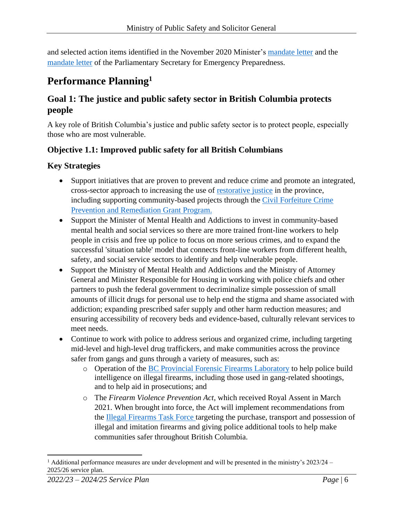and selected action items identified in the November 2020 Minister's mandate letter and the mandate letter of the Parliamentary Secretary for Emergency Preparedness.

# <span id="page-5-0"></span>**Performance Planning<sup>1</sup>**

# **Goal 1: The justice and public safety sector in British Columbia protects people**

A key role of British Columbia's justice and public safety sector is to protect people, especially those who are most vulnerable.

## **Objective 1.1: Improved public safety for all British Columbians**

- Support initiatives that are proven to prevent and reduce crime and promote an integrated, cross-sector approach to increasing the use of restorative justice in the province, including supporting community-based projects through the Civil Forfeiture Crime Prevention and Remediation Grant Program.
- Support the Minister of Mental Health and Addictions to invest in community-based mental health and social services so there are more trained front-line workers to help people in crisis and free up police to focus on more serious crimes, and to expand the successful 'situation table' model that connects front-line workers from different health, safety, and social service sectors to identify and help vulnerable people.
- Support the Ministry of Mental Health and Addictions and the Ministry of Attorney General and Minister Responsible for Housing in working with police chiefs and other partners to push the federal government to decriminalize simple possession of small amounts of illicit drugs for personal use to help end the stigma and shame associated with addiction; expanding prescribed safer supply and other harm reduction measures; and ensuring accessibility of recovery beds and evidence-based, culturally relevant services to meet needs.
- Continue to work with police to address serious and organized crime, including targeting mid-level and high-level drug traffickers, and make communities across the province safer from gangs and guns through a variety of measures, such as:
	- o Operation of the BC Provincial Forensic Firearms Laboratory to help police build intelligence on illegal firearms, including those used in gang-related shootings, and to help aid in prosecutions; and
	- o The *Firearm Violence Prevention Act*, which received Royal Assent in March 2021. When brought into force, the Act will implement recommendations from the Illegal Firearms Task Force targeting the purchase, transport and possession of illegal and imitation firearms and giving police additional tools to help make communities safer throughout British Columbia.

<sup>&</sup>lt;sup>1</sup> Additional performance measures are under development and will be presented in the ministry's  $2023/24$  – 2025/26 service plan.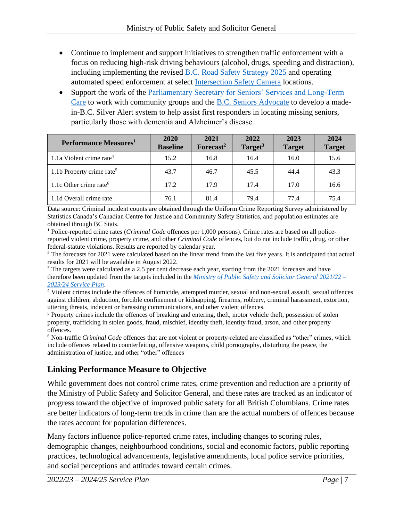- Continue to implement and support initiatives to strengthen traffic enforcement with a focus on reducing high-risk driving behaviours (alcohol, drugs, speeding and distraction), including implementing the revised B.C. Road Safety Strategy 2025 and operating automated speed enforcement at select **Intersection Safety Camera locations.**
- Support the work of the Parliamentary Secretary for Seniors' Services and Long-Term Care to work with community groups and the B.C. Seniors Advocate to develop a madein-B.C. Silver Alert system to help assist first responders in locating missing seniors, particularly those with dementia and Alzheimer's disease.

| Performance Measures <sup>1</sup>     | 2020<br><b>Baseline</b> | 2021<br>Forecast <sup>2</sup> | 2022<br>Target $3$ | 2023<br><b>Target</b> | 2024<br><b>Target</b> |
|---------------------------------------|-------------------------|-------------------------------|--------------------|-----------------------|-----------------------|
| 1.1a Violent crime rate <sup>4</sup>  | 15.2                    | 16.8                          | 16.4               | 16.0                  | 15.6                  |
| 1.1b Property crime rate <sup>5</sup> | 43.7                    | 46.7                          | 45.5               | 44.4                  | 43.3                  |
| 1.1c Other crime rate <sup>6</sup>    | 17.2                    | 17.9                          | 17.4               | 17.0                  | 16.6                  |
| 1.1d Overall crime rate               | 76.1                    | 81.4                          | 79.4               | 77.4                  | 75.4                  |

Data source: Criminal incident counts are obtained through the Uniform Crime Reporting Survey administered by Statistics Canada's Canadian Centre for Justice and Community Safety Statistics, and population estimates are obtained through BC Stats.

<sup>1</sup> Police-reported crime rates (*Criminal Code* offences per 1,000 persons). Crime rates are based on all policereported violent crime, property crime, and other *Criminal Code* offences, but do not include traffic, drug, or other federal-statute violations. Results are reported by calendar year.

<sup>2</sup> The forecasts for 2021 were calculated based on the linear trend from the last five years. It is anticipated that actual results for 2021 will be available in August 2022.

<sup>3</sup> The targets were calculated as a 2.5 per cent decrease each year, starting from the 2021 forecasts and have therefore been updated from the targets included in the *Ministry of Public Safety and Solicitor General 2021/22 – 2023/24 Service Plan*.

<sup>4</sup> Violent crimes include the offences of homicide, attempted murder, sexual and non-sexual assault, sexual offences against children, abduction, forcible confinement or kidnapping, firearms, robbery, criminal harassment, extortion, uttering threats, indecent or harassing communications, and other violent offences.

<sup>5</sup> Property crimes include the offences of breaking and entering, theft, motor vehicle theft, possession of stolen property, trafficking in stolen goods, fraud, mischief, identity theft, identity fraud, arson, and other property offences.

<sup>6</sup> Non-traffic *Criminal Code* offences that are not violent or property-related are classified as "other" crimes, which include offences related to counterfeiting, offensive weapons, child pornography, disturbing the peace, the administration of justice, and other "other" offences

## **Linking Performance Measure to Objective**

While government does not control crime rates, crime prevention and reduction are a priority of the Ministry of Public Safety and Solicitor General, and these rates are tracked as an indicator of progress toward the objective of improved public safety for all British Columbians. Crime rates are better indicators of long-term trends in crime than are the actual numbers of offences because the rates account for population differences.

Many factors influence police-reported crime rates, including changes to scoring rules, demographic changes, neighbourhood conditions, social and economic factors, public reporting practices, technological advancements, legislative amendments, local police service priorities, and social perceptions and attitudes toward certain crimes.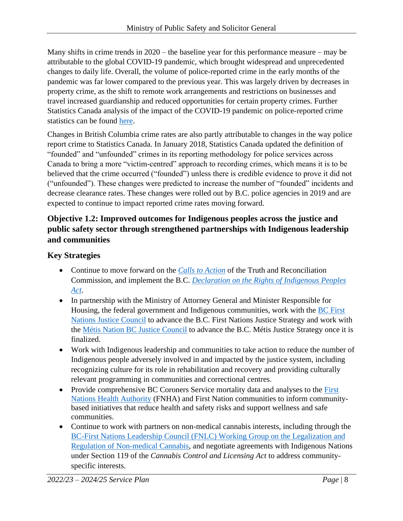Many shifts in crime trends in 2020 – the baseline year for this performance measure – may be attributable to the global COVID-19 pandemic, which brought widespread and unprecedented changes to daily life. Overall, the volume of police-reported crime in the early months of the pandemic was far lower compared to the previous year. This was largely driven by decreases in property crime, as the shift to remote work arrangements and restrictions on businesses and travel increased guardianship and reduced opportunities for certain property crimes. Further Statistics Canada analysis of the impact of the COVID-19 pandemic on police-reported crime statistics can be found here.

Changes in British Columbia crime rates are also partly attributable to changes in the way police report crime to Statistics Canada. In January 2018, Statistics Canada updated the definition of "founded" and "unfounded" crimes in its reporting methodology for police services across Canada to bring a more "victim-centred" approach to recording crimes, which means it is to be believed that the crime occurred ("founded") unless there is credible evidence to prove it did not ("unfounded"). These changes were predicted to increase the number of "founded" incidents and decrease clearance rates. These changes were rolled out by B.C. police agencies in 2019 and are expected to continue to impact reported crime rates moving forward.

## **Objective 1.2: Improved outcomes for Indigenous peoples across the justice and public safety sector through strengthened partnerships with Indigenous leadership and communities**

- Continue to move forward on the *Calls to Action* of the Truth and Reconciliation Commission, and implement the B.C. *Declaration on the Rights of Indigenous Peoples Act*.
- In partnership with the Ministry of Attorney General and Minister Responsible for Housing, the federal government and Indigenous communities, work with the BC First Nations Justice Council to advance the B.C. First Nations Justice Strategy and work with the Métis Nation BC Justice Council to advance the B.C. Métis Justice Strategy once it is finalized.
- Work with Indigenous leadership and communities to take action to reduce the number of Indigenous people adversely involved in and impacted by the justice system, including recognizing culture for its role in rehabilitation and recovery and providing culturally relevant programming in communities and correctional centres.
- Provide comprehensive BC Coroners Service mortality data and analyses to the First Nations Health Authority (FNHA) and First Nation communities to inform communitybased initiatives that reduce health and safety risks and support wellness and safe communities.
- Continue to work with partners on non-medical cannabis interests, including through the BC-First Nations Leadership Council (FNLC) Working Group on the Legalization and Regulation of Non-medical Cannabis, and negotiate agreements with Indigenous Nations under Section 119 of the *Cannabis Control and Licensing Act* to address communityspecific interests.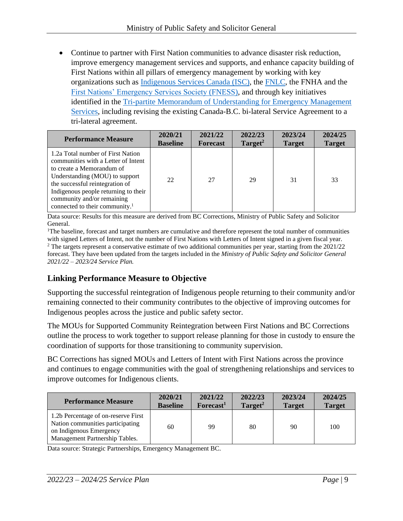• Continue to partner with First Nation communities to advance disaster risk reduction, improve emergency management services and supports, and enhance capacity building of First Nations within all pillars of emergency management by working with key organizations such as Indigenous Services Canada (ISC), the FNLC, the FNHA and the First Nations' Emergency Services Society (FNESS), and through key initiatives identified in the Tri-partite Memorandum of Understanding for Emergency Management Services, including revising the existing Canada-B.C. bi-lateral Service Agreement to a tri-lateral agreement.

| <b>Performance Measure</b>                                                                                                                                                                                                                                                                     | 2020/21         | 2021/22         | 2022/23             | 2023/24       | 2024/25       |
|------------------------------------------------------------------------------------------------------------------------------------------------------------------------------------------------------------------------------------------------------------------------------------------------|-----------------|-----------------|---------------------|---------------|---------------|
|                                                                                                                                                                                                                                                                                                | <b>Baseline</b> | <b>Forecast</b> | Target <sup>2</sup> | <b>Target</b> | <b>Target</b> |
| 1.2a Total number of First Nation<br>communities with a Letter of Intent<br>to create a Memorandum of<br>Understanding (MOU) to support<br>the successful reintegration of<br>Indigenous people returning to their<br>community and/or remaining<br>connected to their community. <sup>1</sup> | 22              | 27              | 29                  | 31            | 33            |

Data source: Results for this measure are derived from BC Corrections, Ministry of Public Safety and Solicitor General.

<sup>1</sup>The baseline, forecast and target numbers are cumulative and therefore represent the total number of communities with signed Letters of Intent, not the number of First Nations with Letters of Intent signed in a given fiscal year. <sup>2</sup> The targets represent a conservative estimate of two additional communities per year, starting from the 2021/22 forecast. They have been updated from the targets included in the *Ministry of Public Safety and Solicitor General 2021/22 – 2023/24 Service Plan.*

# **Linking Performance Measure to Objective**

Supporting the successful reintegration of Indigenous people returning to their community and/or remaining connected to their community contributes to the objective of improving outcomes for Indigenous peoples across the justice and public safety sector.

The MOUs for Supported Community Reintegration between First Nations and BC Corrections outline the process to work together to support release planning for those in custody to ensure the coordination of supports for those transitioning to community supervision.

BC Corrections has signed MOUs and Letters of Intent with First Nations across the province and continues to engage communities with the goal of strengthening relationships and services to improve outcomes for Indigenous clients.

| <b>Performance Measure</b>                                                                                                           | 2020/21         | 2021/22               | 2022/23             | 2023/24       | 2024/25       |
|--------------------------------------------------------------------------------------------------------------------------------------|-----------------|-----------------------|---------------------|---------------|---------------|
|                                                                                                                                      | <b>Baseline</b> | Forecast <sup>1</sup> | Target <sup>2</sup> | <b>Target</b> | <b>Target</b> |
| 1.2b Percentage of on-reserve First<br>Nation communities participating<br>on Indigenous Emergency<br>Management Partnership Tables. | 60              | 99                    | 80                  | 90            | 100           |

Data source: Strategic Partnerships, Emergency Management BC.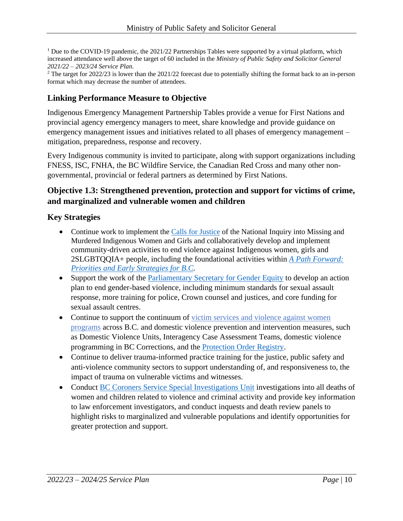<sup>1</sup> Due to the COVID-19 pandemic, the 2021/22 Partnerships Tables were supported by a virtual platform, which increased attendance well above the target of 60 included in the *Ministry of Public Safety and Solicitor General 2021/22 – 2023/24 Service Plan*.

<sup>2</sup> The target for 2022/23 is lower than the 2021/22 forecast due to potentially shifting the format back to an in-person format which may decrease the number of attendees.

#### **Linking Performance Measure to Objective**

Indigenous Emergency Management Partnership Tables provide a venue for First Nations and provincial agency emergency managers to meet, share knowledge and provide guidance on emergency management issues and initiatives related to all phases of emergency management – mitigation, preparedness, response and recovery.

Every Indigenous community is invited to participate, along with support organizations including FNESS, ISC, FNHA, the BC Wildfire Service, the Canadian Red Cross and many other nongovernmental, provincial or federal partners as determined by First Nations.

#### **Objective 1.3: Strengthened prevention, protection and support for victims of crime, and marginalized and vulnerable women and children**

- Continue work to implement the Calls for Justice of the National Inquiry into Missing and Murdered Indigenous Women and Girls and collaboratively develop and implement community-driven activities to end violence against Indigenous women, girls and 2SLGBTQQIA+ people, including the foundational activities within *A Path Forward: Priorities and Early Strategies for B.C.*
- Support the work of the Parliamentary Secretary for Gender Equity to develop an action plan to end gender-based violence, including minimum standards for sexual assault response, more training for police, Crown counsel and justices, and core funding for sexual assault centres.
- Continue to support the continuum of victim services and violence against women programs across B.C. and domestic violence prevention and intervention measures, such as Domestic Violence Units, Interagency Case Assessment Teams, domestic violence programming in BC Corrections, and the Protection Order Registry.
- Continue to deliver trauma-informed practice training for the justice, public safety and anti-violence community sectors to support understanding of, and responsiveness to, the impact of trauma on vulnerable victims and witnesses.
- Conduct BC Coroners Service Special Investigations Unit investigations into all deaths of women and children related to violence and criminal activity and provide key information to law enforcement investigators, and conduct inquests and death review panels to highlight risks to marginalized and vulnerable populations and identify opportunities for greater protection and support.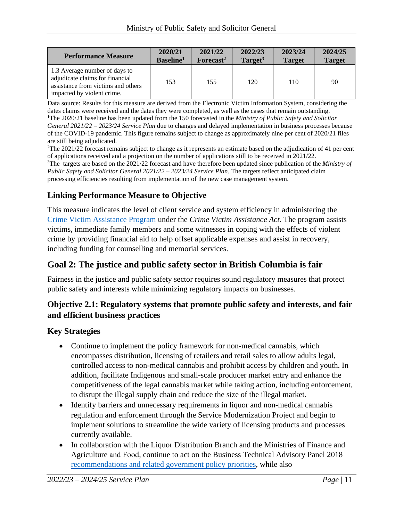| <b>Performance Measure</b>                                                                                                           | 2020/21               | 2021/22               | 2022/23             | 2023/24       | 2024/25       |
|--------------------------------------------------------------------------------------------------------------------------------------|-----------------------|-----------------------|---------------------|---------------|---------------|
|                                                                                                                                      | Baseline <sup>1</sup> | Forecast <sup>2</sup> | Target <sup>3</sup> | <b>Target</b> | <b>Target</b> |
| 1.3 Average number of days to<br>adjudicate claims for financial<br>assistance from victims and others<br>impacted by violent crime. | 153                   | 155                   | 120                 | 110           | 90            |

Data source: Results for this measure are derived from the Electronic Victim Information System, considering the dates claims were received and the dates they were completed, as well as the cases that remain outstanding. <sup>1</sup>The 2020/21 baseline has been updated from the 150 forecasted in the *Ministry of Public Safety and Solicitor General 2021/22 – 2023/24 Service Plan* due to changes and delayed implementation in business processes because of the COVID-19 pandemic. This figure remains subject to change as approximately nine per cent of 2020/21 files are still being adjudicated.

<sup>2</sup>The 2021/22 forecast remains subject to change as it represents an estimate based on the adjudication of 41 per cent of applications received and a projection on the number of applications still to be received in 2021/22. <sup>3</sup>The targets are based on the 2021/22 forecast and have therefore been updated since publication of the *Ministry of Public Safety and Solicitor General 2021/22 – 2023/24 Service Plan*. The targets reflect anticipated claim processing efficiencies resulting from implementation of the new case management system.

# **Linking Performance Measure to Objective**

This measure indicates the level of client service and system efficiency in administering the Crime Victim Assistance Program under the *Crime Victim Assistance Act*. The program assists victims, immediate family members and some witnesses in coping with the effects of violent crime by providing financial aid to help offset applicable expenses and assist in recovery, including funding for counselling and memorial services.

# **Goal 2: The justice and public safety sector in British Columbia is fair**

Fairness in the justice and public safety sector requires sound regulatory measures that protect public safety and interests while minimizing regulatory impacts on businesses.

## **Objective 2.1: Regulatory systems that promote public safety and interests, and fair and efficient business practices**

- Continue to implement the policy framework for non-medical cannabis, which encompasses distribution, licensing of retailers and retail sales to allow adults legal, controlled access to non-medical cannabis and prohibit access by children and youth. In addition, facilitate Indigenous and small-scale producer market entry and enhance the competitiveness of the legal cannabis market while taking action, including enforcement, to disrupt the illegal supply chain and reduce the size of the illegal market.
- Identify barriers and unnecessary requirements in liquor and non-medical cannabis regulation and enforcement through the Service Modernization Project and begin to implement solutions to streamline the wide variety of licensing products and processes currently available.
- In collaboration with the Liquor Distribution Branch and the Ministries of Finance and Agriculture and Food, continue to act on the Business Technical Advisory Panel 2018 recommendations and related government policy priorities, while also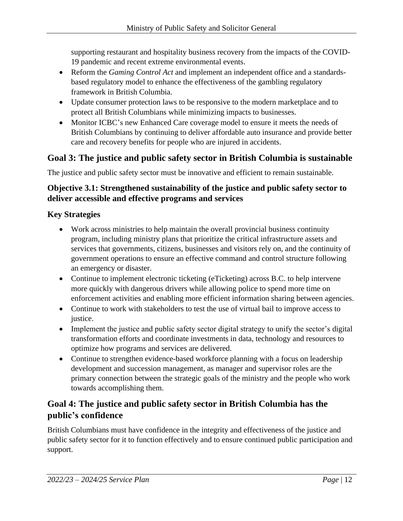supporting restaurant and hospitality business recovery from the impacts of the COVID-19 pandemic and recent extreme environmental events.

- Reform the *Gaming Control Act* and implement an independent office and a standardsbased regulatory model to enhance the effectiveness of the gambling regulatory framework in British Columbia.
- Update consumer protection laws to be responsive to the modern marketplace and to protect all British Columbians while minimizing impacts to businesses.
- Monitor ICBC's new Enhanced Care coverage model to ensure it meets the needs of British Columbians by continuing to deliver affordable auto insurance and provide better care and recovery benefits for people who are injured in accidents.

# **Goal 3: The justice and public safety sector in British Columbia is sustainable**

The justice and public safety sector must be innovative and efficient to remain sustainable.

## **Objective 3.1: Strengthened sustainability of the justice and public safety sector to deliver accessible and effective programs and services**

## **Key Strategies**

- Work across ministries to help maintain the overall provincial business continuity program, including ministry plans that prioritize the critical infrastructure assets and services that governments, citizens, businesses and visitors rely on, and the continuity of government operations to ensure an effective command and control structure following an emergency or disaster.
- Continue to implement electronic ticketing (eTicketing) across B.C. to help intervene more quickly with dangerous drivers while allowing police to spend more time on enforcement activities and enabling more efficient information sharing between agencies.
- Continue to work with stakeholders to test the use of virtual bail to improve access to justice.
- Implement the justice and public safety sector digital strategy to unify the sector's digital transformation efforts and coordinate investments in data, technology and resources to optimize how programs and services are delivered.
- Continue to strengthen evidence-based workforce planning with a focus on leadership development and succession management, as manager and supervisor roles are the primary connection between the strategic goals of the ministry and the people who work towards accomplishing them.

# **Goal 4: The justice and public safety sector in British Columbia has the public's confidence**

British Columbians must have confidence in the integrity and effectiveness of the justice and public safety sector for it to function effectively and to ensure continued public participation and support.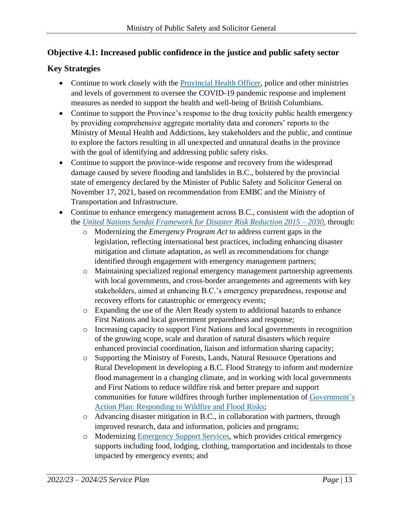## **Objective 4.1: Increased public confidence in the justice and public safety sector**

- Continue to work closely with the Provincial Health Officer, police and other ministries and levels of government to oversee the COVID-19 pandemic response and implement measures as needed to support the health and well-being of British Columbians.
- Continue to support the Province's response to the drug toxicity public health emergency by providing comprehensive aggregate mortality data and coroners' reports to the Ministry of Mental Health and Addictions, key stakeholders and the public, and continue to explore the factors resulting in all unexpected and unnatural deaths in the province with the goal of identifying and addressing public safety risks.
- Continue to support the province-wide response and recovery from the widespread damage caused by severe flooding and landslides in B.C., bolstered by the provincial state of emergency declared by the Minister of Public Safety and Solicitor General on November 17, 2021, based on recommendation from EMBC and the Ministry of Transportation and Infrastructure.
- Continue to enhance emergency management across B.C., consistent with the adoption of the *United Nations Sendai Framework for Disaster Risk Reduction 2015 – 2030*, through:
	- o Modernizing the *Emergency Program Act* to address current gaps in the legislation, reflecting international best practices, including enhancing disaster mitigation and climate adaptation, as well as recommendations for change identified through engagement with emergency management partners;
	- o Maintaining specialized regional emergency management partnership agreements with local governments, and cross-border arrangements and agreements with key stakeholders, aimed at enhancing B.C.'s emergency preparedness, response and recovery efforts for catastrophic or emergency events;
	- o Expanding the use of the Alert Ready system to additional hazards to enhance First Nations and local government preparedness and response;
	- o Increasing capacity to support First Nations and local governments in recognition of the growing scope, scale and duration of natural disasters which require enhanced provincial coordination, liaison and information sharing capacity;
	- o Supporting the Ministry of Forests, Lands, Natural Resource Operations and Rural Development in developing a B.C. Flood Strategy to inform and modernize flood management in a changing climate, and in working with local governments and First Nations to reduce wildfire risk and better prepare and support communities for future wildfires through further implementation of Government's Action Plan: Responding to Wildfire and Flood Risks;
	- o Advancing disaster mitigation in B.C., in collaboration with partners, through improved research, data and information, policies and programs;
	- o Modernizing Emergency Support Services, which provides critical emergency supports including food, lodging, clothing, transportation and incidentals to those impacted by emergency events; and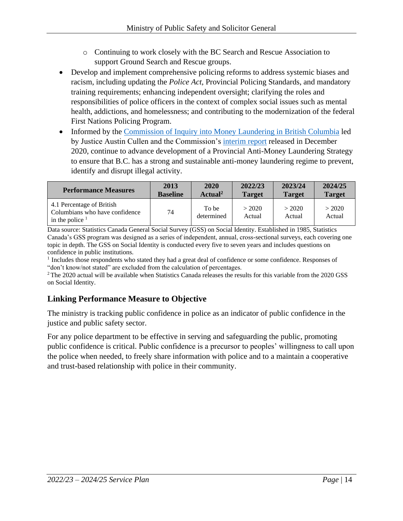- o Continuing to work closely with the BC Search and Rescue Association to support Ground Search and Rescue groups.
- Develop and implement comprehensive policing reforms to address systemic biases and racism, including updating the *Police Act*, Provincial Policing Standards, and mandatory training requirements; enhancing independent oversight; clarifying the roles and responsibilities of police officers in the context of complex social issues such as mental health, addictions, and homelessness; and contributing to the modernization of the federal First Nations Policing Program.
- Informed by the Commission of Inquiry into Money Laundering in British Columbia led by Justice Austin Cullen and the Commission's interim report released in December 2020, continue to advance development of a Provincial Anti-Money Laundering Strategy to ensure that B.C. has a strong and sustainable anti-money laundering regime to prevent, identify and disrupt illegal activity.

| <b>Performance Measures</b>                                                      | 2013            | 2020                | 2022/23          | 2023/24          | 2024/25          |
|----------------------------------------------------------------------------------|-----------------|---------------------|------------------|------------------|------------------|
|                                                                                  | <b>Baseline</b> | Actual <sup>2</sup> | <b>Target</b>    | <b>Target</b>    | <b>Target</b>    |
| 4.1 Percentage of British<br>Columbians who have confidence<br>in the police $1$ | 74              | To be<br>determined | > 2020<br>Actual | > 2020<br>Actual | > 2020<br>Actual |

Data source: Statistics Canada General Social Survey (GSS) on Social Identity. Established in 1985, Statistics Canada's GSS program was designed as a series of independent, annual, cross-sectional surveys, each covering one topic in depth. The GSS on Social Identity is conducted every five to seven years and includes questions on confidence in public institutions.

<sup>1</sup> Includes those respondents who stated they had a great deal of confidence or some confidence. Responses of "don't know/not stated" are excluded from the calculation of percentages.

<sup>2</sup>The 2020 actual will be available when Statistics Canada releases the results for this variable from the 2020 GSS on Social Identity.

# **Linking Performance Measure to Objective**

The ministry is tracking public confidence in police as an indicator of public confidence in the justice and public safety sector.

For any police department to be effective in serving and safeguarding the public, promoting public confidence is critical. Public confidence is a precursor to peoples' willingness to call upon the police when needed, to freely share information with police and to a maintain a cooperative and trust-based relationship with police in their community.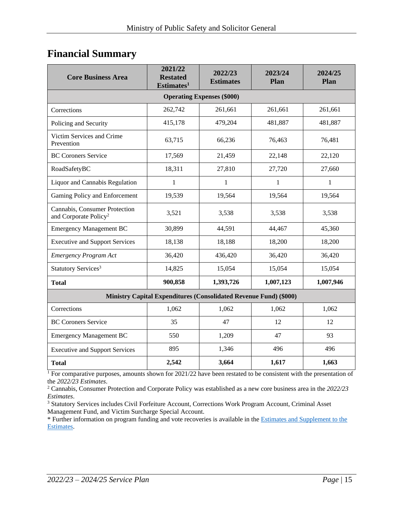# <span id="page-14-0"></span>**Financial Summary**

| <b>Core Business Area</b>                                                | 2021/22<br><b>Restated</b><br>Estimates <sup>1</sup> | 2022/23<br><b>Estimates</b> | 2023/24<br>Plan | 2024/25<br>Plan |  |  |  |  |  |
|--------------------------------------------------------------------------|------------------------------------------------------|-----------------------------|-----------------|-----------------|--|--|--|--|--|
| <b>Operating Expenses (\$000)</b>                                        |                                                      |                             |                 |                 |  |  |  |  |  |
| Corrections                                                              | 262,742                                              | 261,661                     | 261,661         | 261,661         |  |  |  |  |  |
| Policing and Security                                                    | 415,178                                              | 479,204                     | 481,887         | 481,887         |  |  |  |  |  |
| Victim Services and Crime<br>Prevention                                  | 63,715                                               | 66,236                      | 76,463          | 76,481          |  |  |  |  |  |
| <b>BC Coroners Service</b>                                               | 17,569                                               | 21,459                      | 22,148          | 22,120          |  |  |  |  |  |
| RoadSafetyBC                                                             | 18,311                                               | 27,810                      | 27,720          | 27,660          |  |  |  |  |  |
| Liquor and Cannabis Regulation                                           | $\mathbf{1}$                                         | 1                           | 1               | 1               |  |  |  |  |  |
| Gaming Policy and Enforcement                                            | 19,539                                               | 19,564                      | 19,564          | 19,564          |  |  |  |  |  |
| Cannabis, Consumer Protection<br>and Corporate Policy <sup>2</sup>       | 3,521                                                | 3,538                       | 3,538           | 3,538           |  |  |  |  |  |
| <b>Emergency Management BC</b>                                           | 30,899                                               | 44,591                      | 44,467          | 45,360          |  |  |  |  |  |
| <b>Executive and Support Services</b>                                    | 18,138                                               | 18,188                      | 18,200          | 18,200          |  |  |  |  |  |
| <b>Emergency Program Act</b>                                             | 36,420                                               | 436,420                     | 36,420          | 36,420          |  |  |  |  |  |
| Statutory Services <sup>3</sup>                                          | 14,825                                               | 15,054                      | 15,054          | 15,054          |  |  |  |  |  |
| <b>Total</b>                                                             | 900,858                                              | 1,393,726                   | 1,007,123       | 1,007,946       |  |  |  |  |  |
| <b>Ministry Capital Expenditures (Consolidated Revenue Fund) (\$000)</b> |                                                      |                             |                 |                 |  |  |  |  |  |
| Corrections                                                              | 1,062                                                | 1,062                       | 1,062           | 1,062           |  |  |  |  |  |
| <b>BC Coroners Service</b>                                               | 35                                                   | 47                          | 12              | 12              |  |  |  |  |  |
| <b>Emergency Management BC</b>                                           | 550                                                  | 1,209                       | 47              | 93              |  |  |  |  |  |
| <b>Executive and Support Services</b>                                    | 895                                                  | 1,346                       | 496             | 496             |  |  |  |  |  |
| <b>Total</b>                                                             | 2,542                                                | 3,664                       | 1,617           | 1,663           |  |  |  |  |  |

<sup>1</sup> For comparative purposes, amounts shown for 2021/22 have been restated to be consistent with the presentation of the *2022/23 Estimates*.

<sup>2</sup> Cannabis, Consumer Protection and Corporate Policy was established as a new core business area in the *2022/23 Estimates*.

<sup>3</sup> Statutory Services includes Civil Forfeiture Account, Corrections Work Program Account, Criminal Asset Management Fund, and Victim Surcharge Special Account.

\* Further information on program funding and vote recoveries is available in the Estimates and Supplement to the Estimates.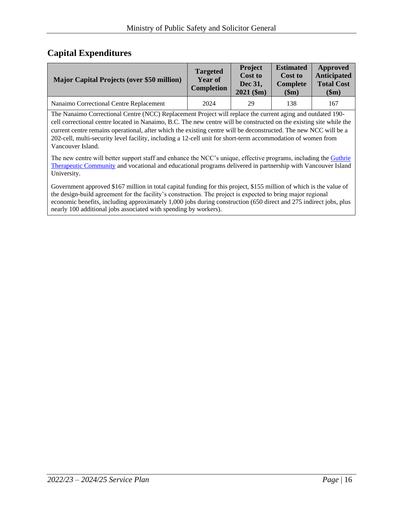# **Capital Expenditures**

| <b>Major Capital Projects (over \$50 million)</b> | <b>Targeted</b><br><b>Year of</b><br><b>Completion</b> | Project<br><b>Cost to</b><br>Dec 31,<br>$2021$ (\$m) | <b>Estimated</b><br><b>Cost to</b><br><b>Complete</b><br>\$m) | Approved<br>Anticipated<br><b>Total Cost</b><br>\$m) |
|---------------------------------------------------|--------------------------------------------------------|------------------------------------------------------|---------------------------------------------------------------|------------------------------------------------------|
| Nanaimo Correctional Centre Replacement           | 2024                                                   | 29                                                   | 138                                                           | 167                                                  |

The Nanaimo Correctional Centre (NCC) Replacement Project will replace the current aging and outdated 190 cell correctional centre located in Nanaimo, B.C. The new centre will be constructed on the existing site while the current centre remains operational, after which the existing centre will be deconstructed. The new NCC will be a 202-cell, multi-security level facility, including a 12-cell unit for short-term accommodation of women from Vancouver Island.

The new centre will better support staff and enhance the NCC's unique, effective programs, including the Guthrie Therapeutic Community and vocational and educational programs delivered in partnership with Vancouver Island University.

Government approved \$167 million in total capital funding for this project, \$155 million of which is the value of the design-build agreement for the facility's construction. The project is expected to bring major regional economic benefits, including approximately 1,000 jobs during construction (650 direct and 275 indirect jobs, plus nearly 100 additional jobs associated with spending by workers).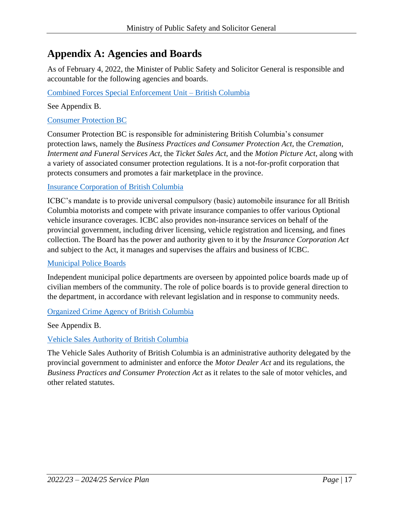# <span id="page-16-0"></span>**Appendix A: Agencies and Boards**

As of February 4, 2022, the Minister of Public Safety and Solicitor General is responsible and accountable for the following agencies and boards.

#### Combined Forces Special Enforcement Unit – British Columbia

See Appendix B.

#### Consumer Protection BC

Consumer Protection BC is responsible for administering British Columbia's consumer protection laws, namely the *Business Practices and Consumer Protection Act*, the *Cremation, Interment and Funeral Services Act*, the *Ticket Sales Act*, and the *Motion Picture Act*, along with a variety of associated consumer protection regulations. It is a not-for-profit corporation that protects consumers and promotes a fair marketplace in the province.

#### Insurance Corporation of British Columbia

ICBC's mandate is to provide universal compulsory (basic) automobile insurance for all British Columbia motorists and compete with private insurance companies to offer various Optional vehicle insurance coverages. ICBC also provides non-insurance services on behalf of the provincial government, including driver licensing, vehicle registration and licensing, and fines collection. The Board has the power and authority given to it by the *Insurance Corporation Act* and subject to the Act, it manages and supervises the affairs and business of ICBC.

#### Municipal Police Boards

Independent municipal police departments are overseen by appointed police boards made up of civilian members of the community. The role of police boards is to provide general direction to the department, in accordance with relevant legislation and in response to community needs.

#### Organized Crime Agency of British Columbia

See Appendix B.

#### Vehicle Sales Authority of British Columbia

The Vehicle Sales Authority of British Columbia is an administrative authority delegated by the provincial government to administer and enforce the *Motor Dealer Act* and its regulations, the *Business Practices and Consumer Protection Act* as it relates to the sale of motor vehicles, and other related statutes.